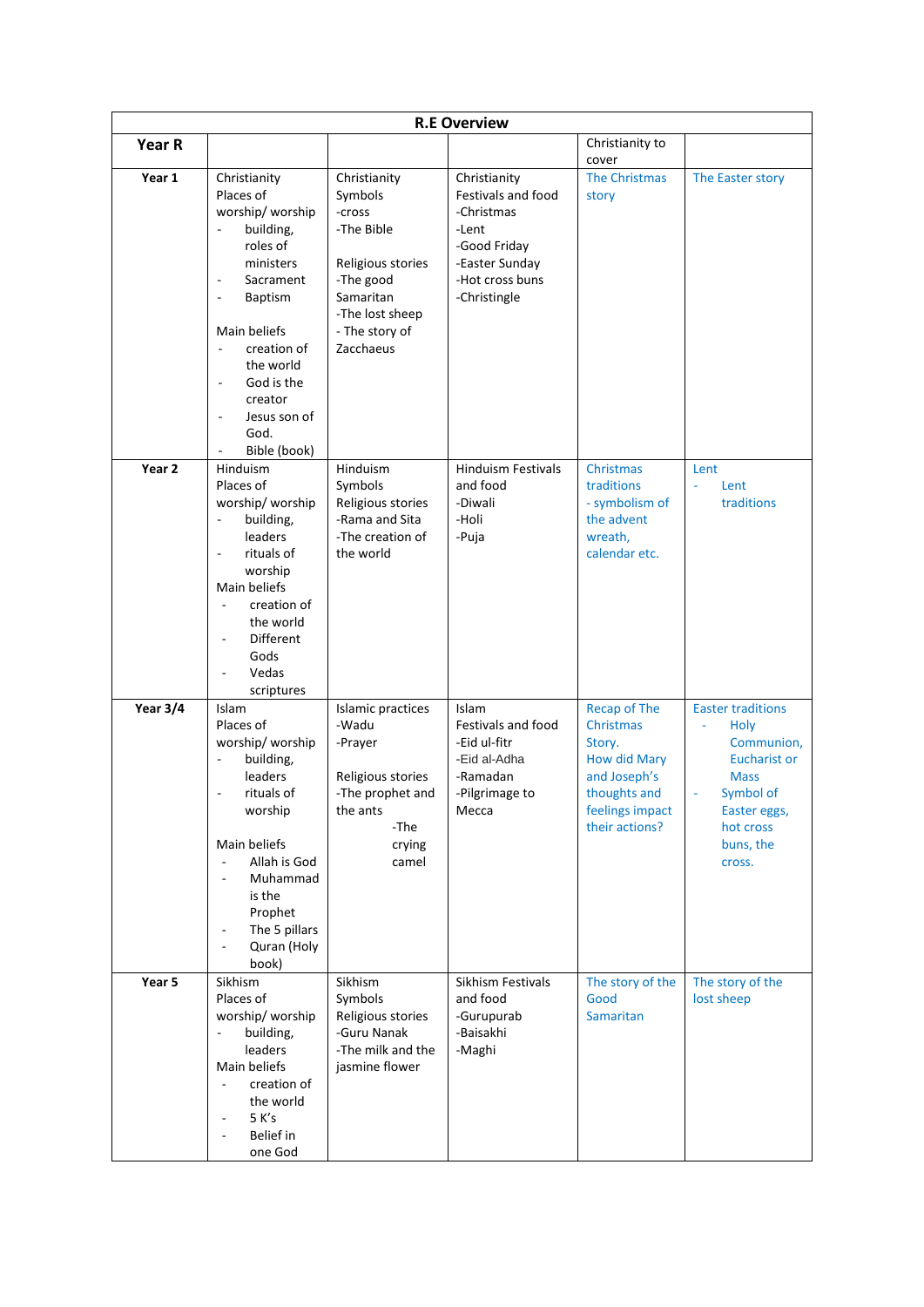| <b>R.E Overview</b> |                                                                                                                                                                                                                                                                                                                                      |                                                                                                                                                  |                                                                                                                                |                                                                                                                                        |                                                                                                                                                                         |  |  |  |  |
|---------------------|--------------------------------------------------------------------------------------------------------------------------------------------------------------------------------------------------------------------------------------------------------------------------------------------------------------------------------------|--------------------------------------------------------------------------------------------------------------------------------------------------|--------------------------------------------------------------------------------------------------------------------------------|----------------------------------------------------------------------------------------------------------------------------------------|-------------------------------------------------------------------------------------------------------------------------------------------------------------------------|--|--|--|--|
| Year R              |                                                                                                                                                                                                                                                                                                                                      |                                                                                                                                                  |                                                                                                                                | Christianity to<br>cover                                                                                                               |                                                                                                                                                                         |  |  |  |  |
| Year 1              | Christianity<br>Places of<br>worship/worship<br>building,<br>roles of<br>ministers<br>Sacrament<br>$\overline{a}$<br><b>Baptism</b><br>$\overline{\phantom{a}}$<br>Main beliefs<br>creation of<br>the world<br>God is the<br>$\overline{\phantom{a}}$<br>creator<br>Jesus son of<br>$\overline{\phantom{a}}$<br>God.<br>Bible (book) | Christianity<br>Symbols<br>-cross<br>-The Bible<br>Religious stories<br>-The good<br>Samaritan<br>-The lost sheep<br>- The story of<br>Zacchaeus | Christianity<br>Festivals and food<br>-Christmas<br>-Lent<br>-Good Friday<br>-Easter Sunday<br>-Hot cross buns<br>-Christingle | The Christmas<br>story                                                                                                                 | The Easter story                                                                                                                                                        |  |  |  |  |
| Year <sub>2</sub>   | Hinduism<br>Places of<br>worship/worship<br>building,<br>$\overline{\phantom{a}}$<br>leaders<br>rituals of<br>worship<br>Main beliefs<br>creation of<br>$\overline{\phantom{a}}$<br>the world<br>Different<br>Gods<br>Vedas<br>scriptures                                                                                            | Hinduism<br>Symbols<br>Religious stories<br>-Rama and Sita<br>-The creation of<br>the world                                                      | <b>Hinduism Festivals</b><br>and food<br>-Diwali<br>-Holi<br>-Puja                                                             | Christmas<br>traditions<br>- symbolism of<br>the advent<br>wreath,<br>calendar etc.                                                    | Lent<br>Lent<br>ä,<br>traditions                                                                                                                                        |  |  |  |  |
| Year 3/4            | Islam<br>Places of<br>worship/worship<br>building,<br>leaders<br>rituals of<br>$\overline{a}$<br>worship<br>Main beliefs<br>Allah is God<br>$\Box$<br>Muhammad<br>$\overline{\phantom{a}}$<br>is the<br>Prophet<br>The 5 pillars<br>Quran (Holy<br>book)                                                                             | Islamic practices<br>-Wadu<br>-Prayer<br>Religious stories<br>-The prophet and<br>the ants<br>-The<br>crying<br>camel                            | Islam<br>Festivals and food<br>-Eid ul-fitr<br>-Eid al-Adha<br>-Ramadan<br>-Pilgrimage to<br>Mecca                             | <b>Recap of The</b><br>Christmas<br>Story.<br><b>How did Mary</b><br>and Joseph's<br>thoughts and<br>feelings impact<br>their actions? | <b>Easter traditions</b><br><b>Holy</b><br>٠<br>Communion,<br><b>Eucharist or</b><br><b>Mass</b><br>Symbol of<br>ä,<br>Easter eggs,<br>hot cross<br>buns, the<br>cross. |  |  |  |  |
| Year 5              | Sikhism<br>Places of<br>worship/worship<br>building,<br>$\blacksquare$<br>leaders<br>Main beliefs<br>creation of<br>$\overline{\phantom{a}}$<br>the world<br>5 K's<br>$\overline{\phantom{a}}$<br>Belief in<br>one God                                                                                                               | Sikhism<br>Symbols<br>Religious stories<br>-Guru Nanak<br>-The milk and the<br>jasmine flower                                                    | Sikhism Festivals<br>and food<br>-Gurupurab<br>-Baisakhi<br>-Maghi                                                             | The story of the<br>Good<br><b>Samaritan</b>                                                                                           | The story of the<br>lost sheep                                                                                                                                          |  |  |  |  |